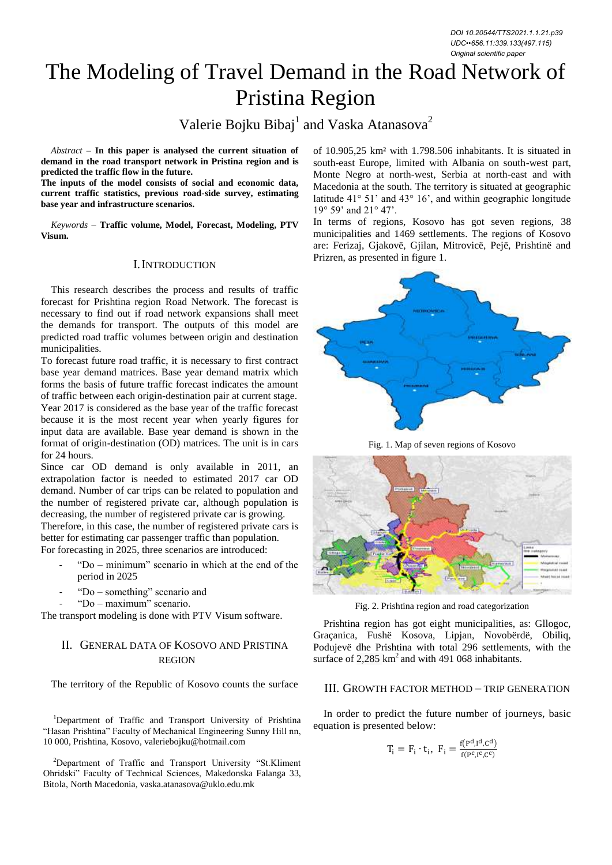# The Modeling of Travel Demand in the Road Network of Pristina Region

# Valerie Bojku Bibaj<sup>1</sup> and Vaska Atanasova<sup>2</sup>

*Abstract –* **In this paper is analysed the current situation of demand in the road transport network in Pristina region and is predicted the traffic flow in the future.** 

**The inputs of the model consists of social and economic data, current traffic statistics, previous road-side survey, estimating base year and infrastructure scenarios.** 

*Keywords –* **Traffic volume, Model, Forecast, Modeling, PTV Visum.**

#### I.INTRODUCTION

This research describes the process and results of traffic forecast for Prishtina region Road Network. The forecast is necessary to find out if road network expansions shall meet the demands for transport. The outputs of this model are predicted road traffic volumes between origin and destination municipalities.

To forecast future road traffic, it is necessary to first contract base year demand matrices. Base year demand matrix which forms the basis of future traffic forecast indicates the amount of traffic between each origin-destination pair at current stage. Year 2017 is considered as the base year of the traffic forecast because it is the most recent year when yearly figures for input data are available. Base year demand is shown in the format of origin-destination (OD) matrices. The unit is in cars for 24 hours.

Since car OD demand is only available in 2011, an extrapolation factor is needed to estimated 2017 car OD demand. Number of car trips can be related to population and the number of registered private car, although population is decreasing, the number of registered private car is growing.

Therefore, in this case, the number of registered private cars is better for estimating car passenger traffic than population. For forecasting in 2025, three scenarios are introduced:

- "Do minimum" scenario in which at the end of the period in 2025
- "Do something" scenario and
- "Do maximum" scenario.

The transport modeling is done with PTV Visum software.

## II. GENERAL DATA OF KOSOVO AND PRISTINA REGION

The territory of the Republic of Kosovo counts the surface

<sup>1</sup>Department of Traffic and Transport University of Prishtina "Hasan Prishtina" Faculty of Mechanical Engineering Sunny Hill nn, 10 000, Prishtina, Kosovo, [valeriebojku@hotmail.com](mailto:valeriebojku@hotmail.com)

<sup>2</sup>Department of Traffic and Transport University "St.Kliment Ohridski" Faculty of Technical Sciences, Makedonska Falanga 33, Bitola, North Macedonia[, vaska.atanasova@uklo.edu.mk](mailto:vaska.atanasova@uklo.edu.mk)

of 10.905,25 km² with 1.798.506 inhabitants. It is situated in south-east Europe, limited with Albania on south-west part, Monte Negro at north-west, Serbia at north-east and with Macedonia at the south. The territory is situated at geographic latitude 41° 51' and 43° 16', and within geographic longitude 19° 59' and 21° 47'.

In terms of regions, Kosovo has got seven regions, 38 municipalities and 1469 settlements. The regions of Kosovo are: Ferizaj, Gjakovë, Gjilan, Mitrovicë, Pejë, Prishtinë and Prizren, as presented in figure 1.



Fig. 1. Map of seven regions of Kosovo



Fig. 2. Prishtina region and road categorization

Prishtina region has got eight municipalities, as: Gllogoc, Graçanica, Fushë Kosova, Lipjan, Novobërdë, Obiliq, Podujevë dhe Prishtina with total 296 settlements, with the surface of  $2,285$  km<sup>2</sup> and with 491 068 inhabitants.

#### III. GROWTH FACTOR METHOD – TRIP GENERATION

In order to predict the future number of journeys, basic equation is presented below:

$$
T_i = F_i \cdot t_i, \ F_i = \frac{f(P^d, I^d, C^d)}{f(P^c, I^c, C^c)}
$$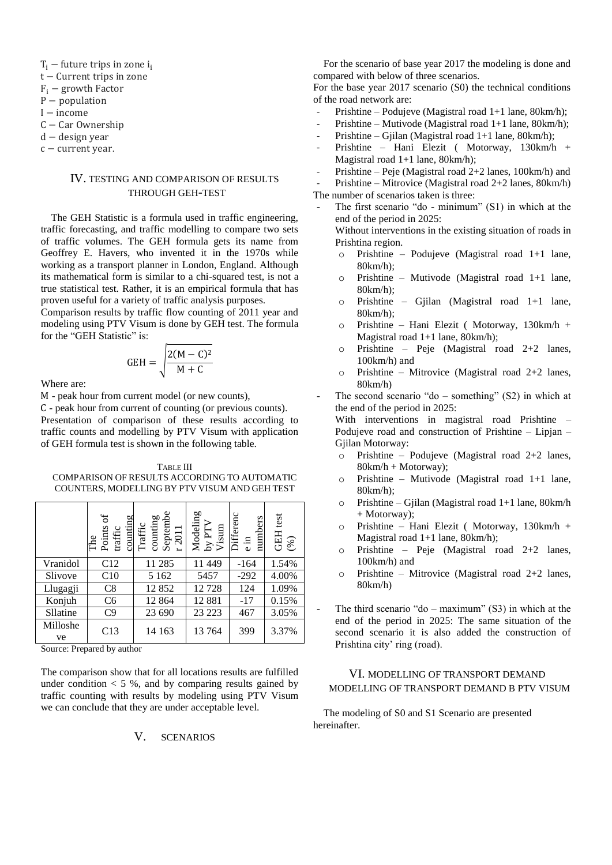- $T_i$  future trips in zone i.
- $t$  Current trips in zone
- $F_i$  growth Factor
- $P$  population
- $I$  income
- $C Car$  Ownership
- $d -$  design year
- $c$  current year.

### IV. TESTING AND COMPARISON OF RESULTS THROUGH GEH-TEST

The GEH Statistic is a formula used in traffic engineering, traffic forecasting, and traffic modelling to compare two sets of traffic volumes. The GEH formula gets its name from Geoffrey E. Havers, who invented it in the 1970s while working as a transport planner in London, England. Although its mathematical form is similar to a chi-squared test, is not a true statistical test. Rather, it is an empirical formula that has proven useful for a variety of traffic analysis purposes.

Comparison results by traffic flow counting of 2011 year and modeling using PTV Visum is done by GEH test. The formula for the "GEH Statistic" is:

$$
GEH = \sqrt{\frac{2(M - C)^2}{M + C}}
$$

Where are:

M - peak hour from current model (or new counts),

 - peak hour from current of counting (or previous counts). Presentation of comparison of these results according to traffic counts and modelling by PTV Visum with application of GEH formula test is shown in the following table.

TABLE III COMPARISON OF RESULTS ACCORDING TO AUTOMATIC COUNTERS, MODELLING BY PTV VISUM AND GEH TEST

|                | ЪÓ<br>counting<br>Points<br>$\operatorname{traffic}$<br>The | Septembe $_{\rm r}$ 2011<br>Traffic<br>counting<br>$\blacksquare$ | $\begin{array}{c} \text{Modeling} \\ \text{by PTV} \\ \text{Visum} \end{array}$ | Differenc<br>numbers<br>크.<br>$\ddot{\mathbf{v}}$ | <b>GEH</b> test<br>(%) |
|----------------|-------------------------------------------------------------|-------------------------------------------------------------------|---------------------------------------------------------------------------------|---------------------------------------------------|------------------------|
| Vranidol       | C12                                                         | 11 285                                                            | 11 449                                                                          | $-164$                                            | 1.54%                  |
| Slivove        | C10                                                         | 5 1 6 2                                                           | 5457                                                                            | $-292$                                            | 4.00%                  |
| Llugagji       | C8                                                          | 12852                                                             | 12728                                                                           | 124                                               | 1.09%                  |
| Konjuh         | C <sub>6</sub>                                              | 12 8 6 4                                                          | 12881                                                                           | $-17$                                             | 0.15%                  |
| Sllatine       | C9                                                          | 23 690                                                            | 23 223                                                                          | 467                                               | 3.05%                  |
| Milloshe<br>ve | C13                                                         | 14 163                                                            | 13764                                                                           | 399                                               | 3.37%                  |

Source: Prepared by author

The comparison show that for all locations results are fulfilled under condition  $< 5$  %, and by comparing results gained by traffic counting with results by modeling using PTV Visum we can conclude that they are under acceptable level.

V. SCENARIOS

For the scenario of base year 2017 the modeling is done and compared with below of three scenarios.

For the base year 2017 scenario (S0) the technical conditions of the road network are:

- Prishtine Podujeve (Magistral road 1+1 lane, 80km/h);
- Prishtine Mutivode (Magistral road 1+1 lane, 80km/h);
- Prishtine Gjilan (Magistral road 1+1 lane, 80km/h);
- Prishtine Hani Elezit ( Motorway, 130km/h + Magistral road 1+1 lane, 80km/h);
- Prishtine Peje (Magistral road 2+2 lanes, 100km/h) and
- Prishtine Mitrovice (Magistral road 2+2 lanes, 80km/h)

The number of scenarios taken is three:

The first scenario "do - minimum" (S1) in which at the end of the period in 2025:

Without interventions in the existing situation of roads in Prishtina region.

- o Prishtine Podujeve (Magistral road 1+1 lane, 80km/h);
- o Prishtine Mutivode (Magistral road 1+1 lane, 80km/h);
- o Prishtine Gjilan (Magistral road 1+1 lane, 80km/h);
- o Prishtine Hani Elezit ( Motorway, 130km/h + Magistral road 1+1 lane, 80km/h);
- o Prishtine Peje (Magistral road 2+2 lanes, 100km/h) and
- o Prishtine Mitrovice (Magistral road 2+2 lanes, 80km/h)
- The second scenario "do something"  $(S2)$  in which at the end of the period in 2025:

With interventions in magistral road Prishtine – Podujeve road and construction of Prishtine – Lipjan – Gjilan Motorway:

- o Prishtine Podujeve (Magistral road 2+2 lanes, 80km/h + Motorway);
- o Prishtine Mutivode (Magistral road 1+1 lane, 80km/h);
- o Prishtine Gjilan (Magistral road 1+1 lane, 80km/h + Motorway);
- o Prishtine Hani Elezit ( Motorway, 130km/h + Magistral road 1+1 lane, 80km/h);
- o Prishtine Peje (Magistral road 2+2 lanes, 100km/h) and
- o Prishtine Mitrovice (Magistral road 2+2 lanes, 80km/h)
- The third scenario "do maximum"  $(S3)$  in which at the end of the period in 2025: The same situation of the second scenario it is also added the construction of Prishtina city' ring (road).

#### VI. MODELLING OF TRANSPORT DEMAND MODELLING OF TRANSPORT DEMAND B PTV VISUM

The modeling of S0 and S1 Scenario are presented hereinafter.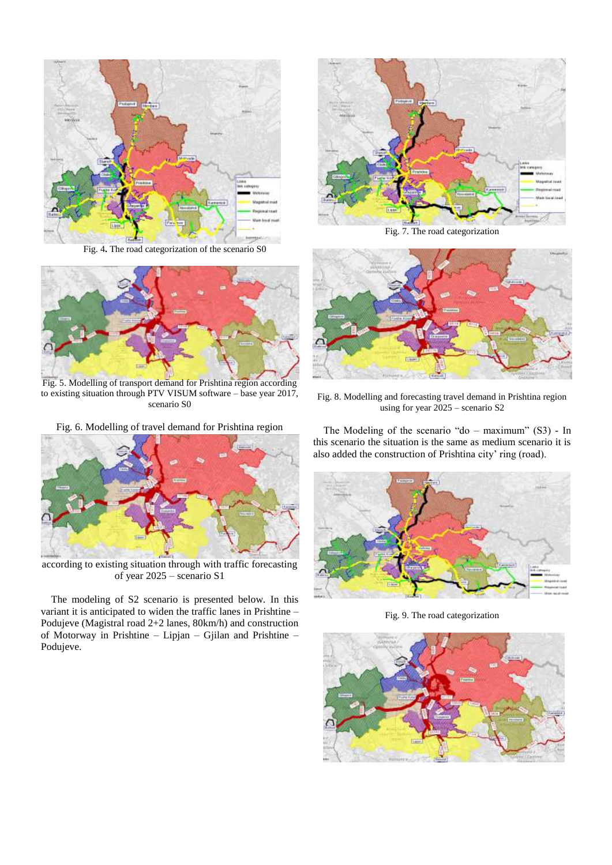

Fig. 4**.** The road categorization of the scenario S0



Fig. 5. Modelling of transport demand for Prishtina region according to existing situation through PTV VISUM software – base year 2017, scenario S0

Fig. 6. Modelling of travel demand for Prishtina region



according to existing situation through with traffic forecasting of year 2025 – scenario S1

The modeling of S2 scenario is presented below. In this variant it is anticipated to widen the traffic lanes in Prishtine – Podujeve (Magistral road 2+2 lanes, 80km/h) and construction of Motorway in Prishtine – Lipjan – Gjilan and Prishtine – Podujeve.



Fig. 7. The road categorization



Fig. 8. Modelling and forecasting travel demand in Prishtina region using for year 2025 – scenario S2

The Modeling of the scenario "do – maximum" (S3) - In this scenario the situation is the same as medium scenario it is also added the construction of Prishtina city' ring (road).



Fig. 9. The road categorization